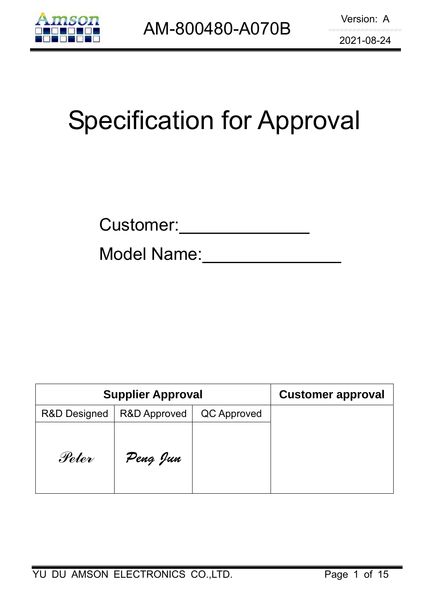

# Specification for Approval

Model Name:

|              | <b>Supplier Approval</b> |             | <b>Customer approval</b> |
|--------------|--------------------------|-------------|--------------------------|
| R&D Designed | <b>R&amp;D Approved</b>  | QC Approved |                          |
| Peter        | Peng Jun                 |             |                          |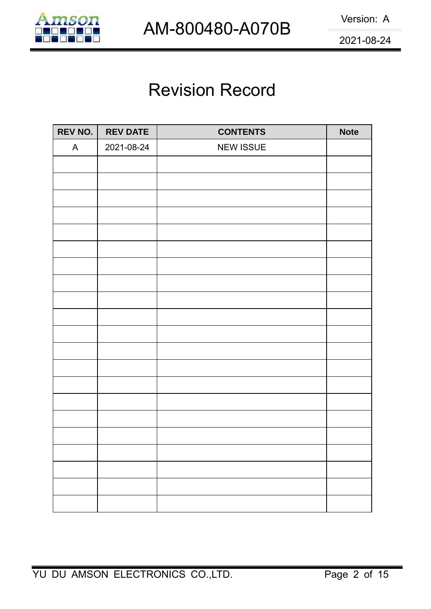

### Revision Record

| REV NO.      | <b>REV DATE</b> | <b>CONTENTS</b>  | <b>Note</b> |
|--------------|-----------------|------------------|-------------|
| $\mathsf{A}$ | 2021-08-24      | <b>NEW ISSUE</b> |             |
|              |                 |                  |             |
|              |                 |                  |             |
|              |                 |                  |             |
|              |                 |                  |             |
|              |                 |                  |             |
|              |                 |                  |             |
|              |                 |                  |             |
|              |                 |                  |             |
|              |                 |                  |             |
|              |                 |                  |             |
|              |                 |                  |             |
|              |                 |                  |             |
|              |                 |                  |             |
|              |                 |                  |             |
|              |                 |                  |             |
|              |                 |                  |             |
|              |                 |                  |             |
|              |                 |                  |             |
|              |                 |                  |             |
|              |                 |                  |             |
|              |                 |                  |             |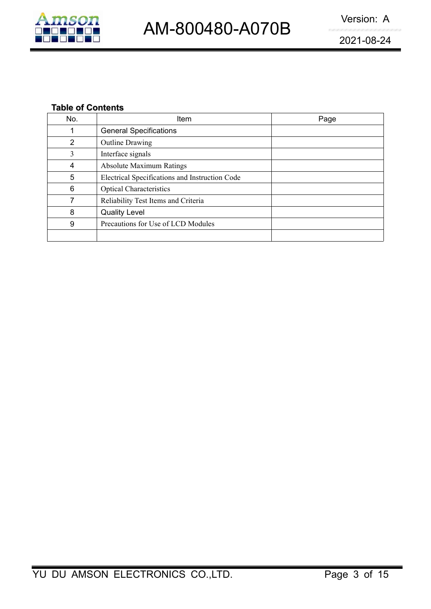

### **Table of Contents**

|                | AM-800480-A070B                                | VEISIUII. A |
|----------------|------------------------------------------------|-------------|
|                |                                                | 2021-08-24  |
|                |                                                |             |
|                |                                                |             |
|                |                                                |             |
|                | <b>Table of Contents</b>                       |             |
| No.            | Item                                           | Page        |
| 1              | <b>General Specifications</b>                  |             |
| $\overline{2}$ | <b>Outline Drawing</b>                         |             |
| 3              | Interface signals                              |             |
| 4              | <b>Absolute Maximum Ratings</b>                |             |
| 5              | Electrical Specifications and Instruction Code |             |
| 6              | <b>Optical Characteristics</b>                 |             |
| $\overline{7}$ | Reliability Test Items and Criteria            |             |
| 8              | <b>Quality Level</b>                           |             |
|                | Precautions for Use of LCD Modules             |             |
| 9              |                                                |             |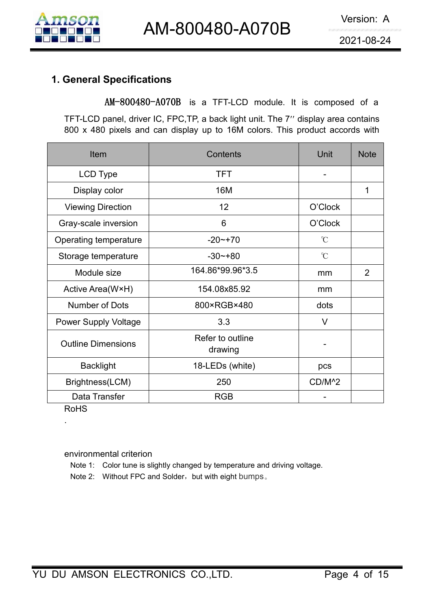

**1. General Specifications**<br> **1. General Specifications**<br> **1. General Specifications**<br> **1. General Specifications**<br> **1. General Specifications**<br> **1. General Specifications**<br> **1. General Specifications**<br> **1. General Specifi** Version: A<br> **AM-800480-A070B**<br> **REVIEW BY AM-800480-A070B**<br> **AM-800480-A070B** is a TFT-LCD module. It is composed of a<br>
FLCD panel, driver IC, FPC,TP, a back light unit. The 7" display area contains<br>
x 480 pixels and can d

|                                  | AM-800480-A070B                                                                                                                                                                                                                |                    | Version: A  |
|----------------------------------|--------------------------------------------------------------------------------------------------------------------------------------------------------------------------------------------------------------------------------|--------------------|-------------|
|                                  |                                                                                                                                                                                                                                |                    | 2021-08-24  |
| <b>1. General Specifications</b> | AM-800480-A070B is a TFT-LCD module. It is composed of a<br>TFT-LCD panel, driver IC, FPC, TP, a back light unit. The 7" display area contains<br>800 x 480 pixels and can display up to 16M colors. This product accords with |                    |             |
| Item                             | Contents                                                                                                                                                                                                                       | Unit               | <b>Note</b> |
| <b>LCD Type</b>                  | <b>TFT</b>                                                                                                                                                                                                                     | $\blacksquare$     |             |
| Display color                    | 16M                                                                                                                                                                                                                            |                    | 1           |
| <b>Viewing Direction</b>         | 12                                                                                                                                                                                                                             | O'Clock            |             |
| Gray-scale inversion             | 6                                                                                                                                                                                                                              | O'Clock            |             |
| Operating temperature            | $-20$ ~ +70                                                                                                                                                                                                                    | $\mathcal{C}$      |             |
| Storage temperature              | $-30$ $-+80$                                                                                                                                                                                                                   | $\mathcal{C}$      |             |
| Module size                      | 164.86*99.96*3.5                                                                                                                                                                                                               | mm                 | 2           |
| Active Area(W×H)                 | 154.08x85.92                                                                                                                                                                                                                   | mm                 |             |
| Number of Dots                   | 800×RGB×480                                                                                                                                                                                                                    | dots               |             |
| <b>Power Supply Voltage</b>      | 3.3                                                                                                                                                                                                                            | $\vee$             |             |
| <b>Outline Dimensions</b>        | Refer to outline<br>drawing                                                                                                                                                                                                    |                    |             |
|                                  | 18-LEDs (white)                                                                                                                                                                                                                | pcs                |             |
| <b>Backlight</b>                 |                                                                                                                                                                                                                                |                    |             |
| Brightness(LCM)                  | 250                                                                                                                                                                                                                            | CD/M <sup>^2</sup> |             |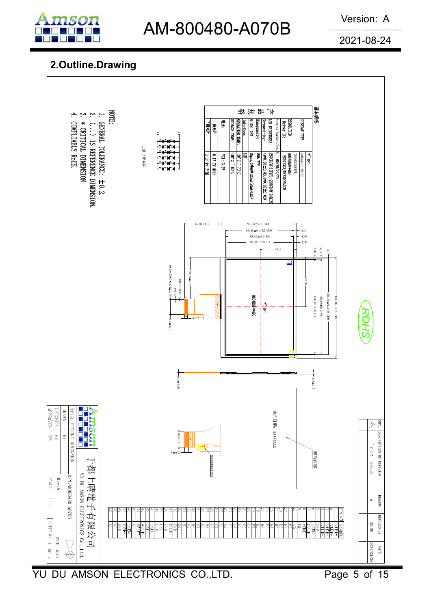

## AM-800480-A070B Version: A

### **2.Outline.Drawing**

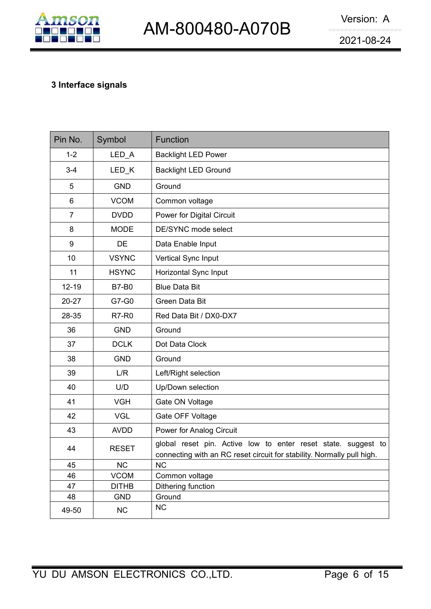

|                |                            | AM-800480-A070B                                                                                                                         | Version: A |
|----------------|----------------------------|-----------------------------------------------------------------------------------------------------------------------------------------|------------|
|                |                            |                                                                                                                                         | 2021-08-24 |
|                | 3 Interface signals        |                                                                                                                                         |            |
| Pin No.        | Symbol                     | Function                                                                                                                                |            |
| $1 - 2$        | $LED_A$                    | <b>Backlight LED Power</b>                                                                                                              |            |
| $3 - 4$        | LED_K                      | <b>Backlight LED Ground</b>                                                                                                             |            |
| 5              | <b>GND</b>                 | Ground                                                                                                                                  |            |
| 6              | <b>VCOM</b>                | Common voltage                                                                                                                          |            |
| $\overline{7}$ | <b>DVDD</b>                | Power for Digital Circuit                                                                                                               |            |
| 8              | <b>MODE</b>                | DE/SYNC mode select                                                                                                                     |            |
| 9              | <b>DE</b>                  | Data Enable Input                                                                                                                       |            |
| 10             | <b>VSYNC</b>               | Vertical Sync Input                                                                                                                     |            |
| 11             | <b>HSYNC</b>               | Horizontal Sync Input                                                                                                                   |            |
| $12 - 19$      | <b>B7-B0</b>               | <b>Blue Data Bit</b>                                                                                                                    |            |
| $20 - 27$      | G7-G0                      | Green Data Bit                                                                                                                          |            |
| 28-35          | <b>R7-R0</b>               | Red Data Bit / DX0-DX7                                                                                                                  |            |
| 36             | <b>GND</b>                 | Ground                                                                                                                                  |            |
| 37             | <b>DCLK</b>                | Dot Data Clock                                                                                                                          |            |
| 38             | <b>GND</b>                 | Ground                                                                                                                                  |            |
| 39             | L/R                        | Left/Right selection                                                                                                                    |            |
| 40             | U/D                        | Up/Down selection                                                                                                                       |            |
| 41             | <b>VGH</b>                 | Gate ON Voltage                                                                                                                         |            |
| 42             | <b>VGL</b>                 | Gate OFF Voltage                                                                                                                        |            |
| 43             | <b>AVDD</b>                | Power for Analog Circuit                                                                                                                |            |
| 44             | <b>RESET</b>               | global reset pin. Active low to enter reset state. suggest to<br>connecting with an RC reset circuit for stability. Normally pull high. |            |
| 45             | NC                         | <b>NC</b>                                                                                                                               |            |
| 46             | <b>VCOM</b>                | Common voltage                                                                                                                          |            |
| 47<br>48       | <b>DITHB</b><br><b>GND</b> | Dithering function<br>Ground                                                                                                            |            |
|                | NC                         | NC                                                                                                                                      |            |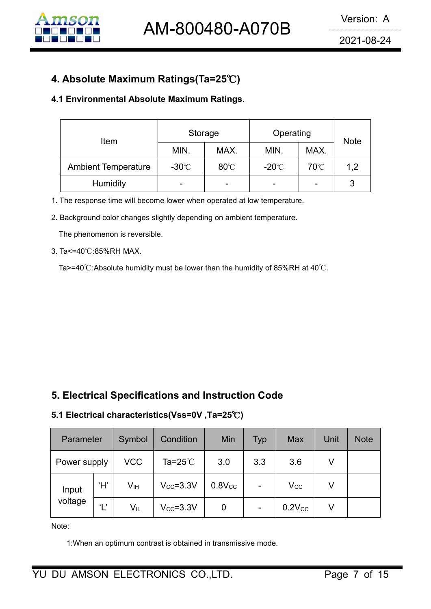

| 4. Absolute Maximum Ratings(Ta=25℃)<br>4.1 Environmental Absolute Maximum Ratings.<br>Operating<br>Storage<br>Item<br><b>Note</b><br>MIN.<br>MAX.<br>MAX.<br>MIN.<br><b>Ambient Temperature</b><br>$-30^{\circ}$ C<br>80°C<br>70°C<br>$-20^{\circ}$ C<br>1,2<br>Humidity<br>3<br>1. The response time will become lower when operated at low temperature. |  |  |  |  |
|-----------------------------------------------------------------------------------------------------------------------------------------------------------------------------------------------------------------------------------------------------------------------------------------------------------------------------------------------------------|--|--|--|--|
|                                                                                                                                                                                                                                                                                                                                                           |  |  |  |  |
|                                                                                                                                                                                                                                                                                                                                                           |  |  |  |  |
|                                                                                                                                                                                                                                                                                                                                                           |  |  |  |  |
|                                                                                                                                                                                                                                                                                                                                                           |  |  |  |  |
|                                                                                                                                                                                                                                                                                                                                                           |  |  |  |  |

- 
- 

| 3. Ta<=40 ∪.85%RH MAX. |                     |                 |                                                                              |              |                          |             |        |              |  |
|------------------------|---------------------|-----------------|------------------------------------------------------------------------------|--------------|--------------------------|-------------|--------|--------------|--|
|                        |                     |                 | Ta>=40°C:Absolute humidity must be lower than the humidity of 85%RH at 40°C. |              |                          |             |        |              |  |
|                        |                     |                 |                                                                              |              |                          |             |        |              |  |
|                        |                     |                 |                                                                              |              |                          |             |        |              |  |
|                        |                     |                 |                                                                              |              |                          |             |        |              |  |
|                        |                     |                 |                                                                              |              |                          |             |        |              |  |
|                        |                     |                 |                                                                              |              |                          |             |        |              |  |
|                        |                     |                 |                                                                              |              |                          |             |        |              |  |
|                        |                     |                 |                                                                              |              |                          |             |        |              |  |
|                        |                     |                 |                                                                              |              |                          |             |        |              |  |
|                        |                     |                 | 5. Electrical Specifications and Instruction Code                            |              |                          |             |        |              |  |
|                        |                     |                 | 5.1 Electrical characteristics(Vss=0V, Ta=25°C)                              |              |                          |             |        |              |  |
|                        |                     |                 |                                                                              |              |                          |             |        |              |  |
| Parameter              |                     | Symbol          | Condition                                                                    | Min          | <b>Typ</b>               | <b>Max</b>  | Unit   | <b>Note</b>  |  |
| Power supply           |                     | <b>VCC</b>      | Ta= $25^{\circ}$ C                                                           | 3.0          | 3.3                      | 3.6         | $\vee$ |              |  |
| Input                  | H'                  | V <sub>IH</sub> | $V_{CC} = 3.3V$                                                              | $0.8$ V $cc$ |                          | $V_{CC}$    | $\vee$ |              |  |
| voltage                | $\mathsf{L}^\prime$ | $V_{IL}$        | $V_{CC} = 3.3V$                                                              | $\pmb{0}$    | $\overline{\phantom{0}}$ | $0.2V_{CC}$ | $\vee$ |              |  |
| Note:                  |                     |                 |                                                                              |              |                          |             |        |              |  |
|                        |                     |                 | 1: When an optimum contrast is obtained in transmissive mode.                |              |                          |             |        |              |  |
|                        |                     |                 |                                                                              |              |                          |             |        |              |  |
|                        |                     |                 | DU AMSON ELECTRONICS CO.,LTD.                                                |              |                          |             |        | Page 7 of 15 |  |
|                        |                     |                 |                                                                              |              |                          |             |        |              |  |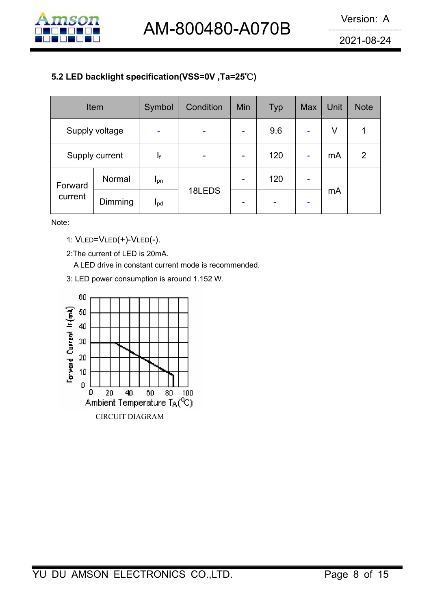

| AM-800480-A070B                                                                                                    |                                             |                            |                                                      |                          |            |                          |        | Version: A<br>2021-08-24 |
|--------------------------------------------------------------------------------------------------------------------|---------------------------------------------|----------------------------|------------------------------------------------------|--------------------------|------------|--------------------------|--------|--------------------------|
|                                                                                                                    |                                             |                            |                                                      |                          |            |                          |        |                          |
|                                                                                                                    |                                             | Symbol                     | Condition                                            | Min                      | <b>Typ</b> | Max                      | Unit   | <b>Note</b>              |
|                                                                                                                    |                                             | $\blacksquare$             | $\blacksquare$                                       | $\overline{\phantom{a}}$ | 9.6        |                          | $\vee$ | 1                        |
| 5.2 LED backlight specification(VSS=0V, Ta=25°C)<br>Item<br>Supply voltage<br>Supply current<br>Forward<br>current |                                             | $\mathsf{l}_{\mathsf{f}}$  |                                                      | $\overline{\phantom{a}}$ | 120        | $\blacksquare$           | mA     | $\overline{2}$           |
|                                                                                                                    | Normal                                      | $I_{pn}$                   | 18LEDS                                               | $\overline{\phantom{a}}$ | 120        | $\overline{\phantom{0}}$ |        |                          |
|                                                                                                                    | Dimming                                     | $\mathsf{I}_{\mathsf{pd}}$ |                                                      | $\overline{\phantom{a}}$ |            |                          | mA     |                          |
| Note:                                                                                                              |                                             |                            |                                                      |                          |            |                          |        |                          |
|                                                                                                                    | 1: VLED=VLED(+)-VLED(-).                    |                            |                                                      |                          |            |                          |        |                          |
|                                                                                                                    | 2: The current of LED is 20mA.              |                            |                                                      |                          |            |                          |        |                          |
|                                                                                                                    |                                             |                            | A LED drive in constant current mode is recommended. |                          |            |                          |        |                          |
|                                                                                                                    | 3: LED power consumption is around 1.152 W. |                            |                                                      |                          |            |                          |        |                          |
| 60<br>₹<br>50                                                                                                      |                                             |                            |                                                      |                          |            |                          |        |                          |

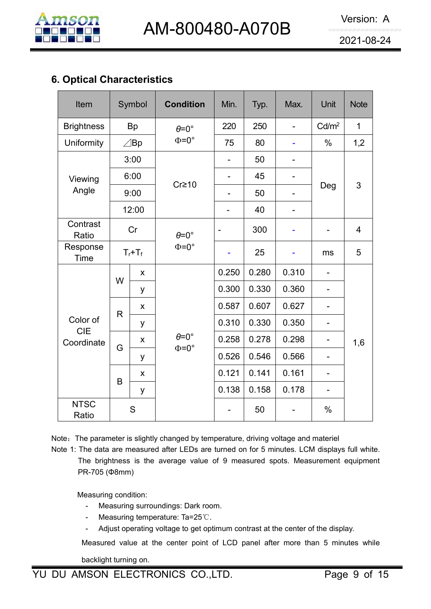

|                                                                                                                    |   |                    | AM-800480-A070B                            |                   |       |                              |                   | Version: A<br>2021-08-24 |
|--------------------------------------------------------------------------------------------------------------------|---|--------------------|--------------------------------------------|-------------------|-------|------------------------------|-------------------|--------------------------|
|                                                                                                                    |   |                    |                                            |                   |       |                              |                   |                          |
| Item                                                                                                               |   | Symbol             | <b>Condition</b>                           | Min.              | Typ.  | Max.                         | Unit              | <b>Note</b>              |
| <b>Brightness</b>                                                                                                  |   | <b>Bp</b>          | $\theta = 0^{\circ}$                       | 220               | 250   | $\overline{\phantom{a}}$     | Cd/m <sup>2</sup> | $\mathbf{1}$             |
| Uniformity                                                                                                         |   | $\angle$ Bp        | $\Phi = 0^{\circ}$                         | 75                | 80    | $\blacksquare$               | $\%$              | 1,2                      |
|                                                                                                                    |   | 3:00               |                                            | $\qquad \qquad -$ | 50    | $\overline{\phantom{a}}$     |                   |                          |
| Viewing                                                                                                            |   | 6:00               | $Cr \geq 10$                               | $\qquad \qquad -$ | 45    | $\overline{a}$               | Deg               | 3                        |
|                                                                                                                    |   | 9:00               |                                            | -                 | 50    | $\overline{\phantom{a}}$     |                   |                          |
|                                                                                                                    |   | 12:00              |                                            |                   | 40    | $\qquad \qquad \blacksquare$ |                   |                          |
| Ratio                                                                                                              |   | Cr                 | $\theta = 0^{\circ}$                       | $\blacksquare$    | 300   |                              |                   | $\overline{4}$           |
| Response                                                                                                           |   | $T_f+T_f$          | $\Phi = 0^{\circ}$                         | ۰                 | 25    | $\overline{\phantom{0}}$     | ms                | 5                        |
|                                                                                                                    |   | X                  |                                            | 0.250             | 0.280 | 0.310                        | $\overline{a}$    |                          |
|                                                                                                                    | W | y                  |                                            | 0.300             | 0.330 | 0.360                        |                   |                          |
|                                                                                                                    | R | $\pmb{\mathsf{X}}$ |                                            | 0.587             | 0.607 | 0.627                        |                   |                          |
| Color of                                                                                                           |   | y                  |                                            | 0.310             | 0.330 | 0.350                        |                   |                          |
|                                                                                                                    | G | X                  | $\theta = 0^{\circ}$<br>$\Phi = 0^{\circ}$ | 0.258             | 0.278 | 0.298                        |                   | 1,6                      |
| <b>6. Optical Characteristics</b><br>Angle<br>Contrast<br>Time<br><b>CIE</b><br>Coordinate<br><b>NTSC</b><br>Ratio |   | y                  |                                            | 0.526             | 0.546 | 0.566                        |                   |                          |
|                                                                                                                    | B | $\pmb{\mathsf{X}}$ |                                            | 0.121             | 0.141 | 0.161                        |                   |                          |
|                                                                                                                    |   | y                  |                                            | 0.138             | 0.158 | 0.178                        |                   |                          |
|                                                                                                                    |   | ${\mathsf S}$      |                                            |                   | 50    |                              | $\%$              |                          |

SC<br>
itio<br>
SSC<br>
Separameter is slightly changed by temperature, driving voltage and ne data are measured after LEDs are turned on for 5 minutes. LCM<br>
Measuring surroundings: Dark room.<br>
- Measuring condition:<br>
- Measuring t S<br>
Altio<br>
e parameter is slightly changed by temperature, driving voltage and materiel<br>
e brightness is the average value of 9 measured spots. Measurement equipment<br>
R-705 (Φ8mm)<br>
easuring condition:<br>
- Measuring surroun The parameter is slightly changed by temperature, driving voltage and materiel<br>
The data are measured after LEDs are turned on for 5 minutes. LCM displays full white.<br>
The brightness is the average value of 9 measured spot The brightness is the average value of 9 measured on the brightness is the average value of 9 measured PR-705 (Φ8mm)<br>
Measuring condition:<br>
- Measuring surroundings: Dark room.<br>
- Measuring temperature: Ta=25℃.<br>
- Adjust

- 
- 
-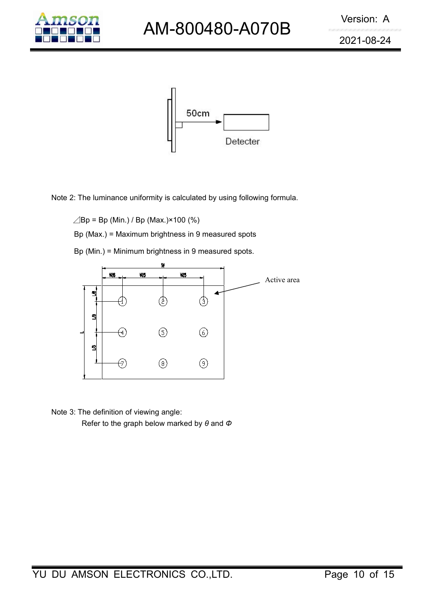



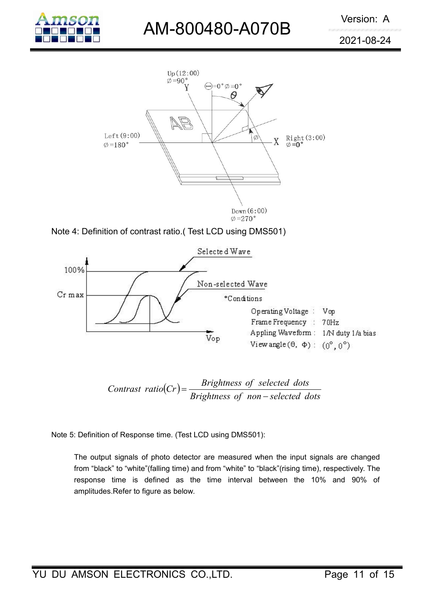

## AM-800480-A070B Version: A

2021-08-24







Contrast ratio(Cr) = 
$$
\frac{Brighness \ of \ selected \ dots}{Brighness \ of \ non-selected \ dots}
$$

Contrast ratio(Cr) =  $\frac{Brightnress\ of\ selected\ dots}{Brightnress\ of\ non-selected\ dots}$ <br>
: Definition of Response time. (Test LCD using DMS501):<br>
The output signals of photo detector are measured when the input signals are changed<br>
from "black" to "white"(fa *Contrast ratio*( $Cr$ ) =  $\frac{Brightnress\ of\ selected\ dots}{Brightness\ of\ non-sselected\ dots}$ <br>
: Definition of Response time. (Test LCD using DMS501):<br>
The output signals of photo detector are measured when the input signals are changed<br>
from "black" to "white" *Contrast ratio*( $Cr$ ) =  $\frac{Brightnress\ of\ selected\ dots}{Brightness\ of\ non - selected\ dots}$ <br>
: Definition of Response time. (Test LCD using DMS501):<br>
The output signals of photo detector are measured when the input signals are changed<br>
from "black" to "white" amplitudes.Refer to figure as below.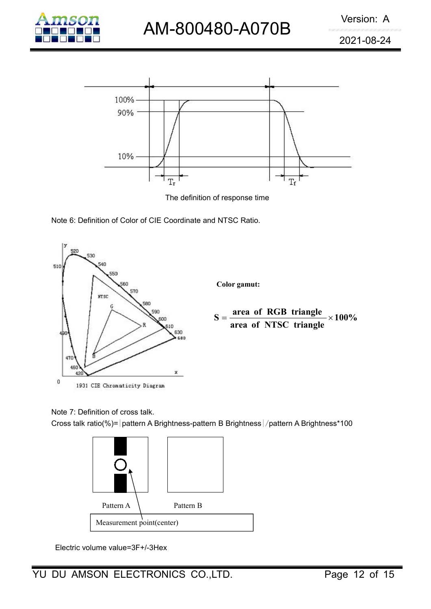





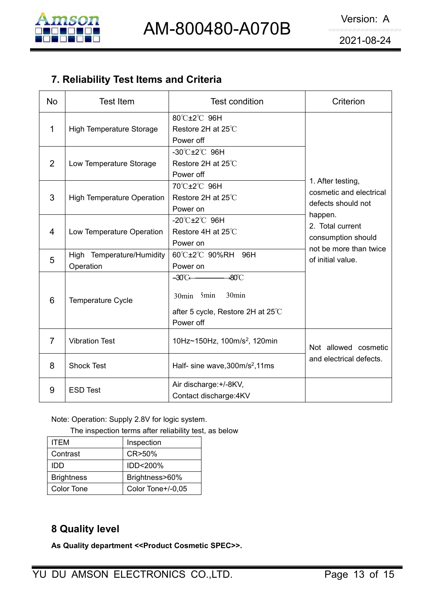

|                |                                        |                                                                                                                 | 2021-08-24                                                       |  |  |
|----------------|----------------------------------------|-----------------------------------------------------------------------------------------------------------------|------------------------------------------------------------------|--|--|
|                | 7. Reliability Test Items and Criteria |                                                                                                                 |                                                                  |  |  |
| <b>No</b>      | <b>Test Item</b>                       | <b>Test condition</b>                                                                                           | Criterion                                                        |  |  |
| $\mathbf 1$    | <b>High Temperature Storage</b>        | 80°C±2°C 96H<br>Restore 2H at 25°C<br>Power off                                                                 |                                                                  |  |  |
| 2              | Low Temperature Storage                | $-30^{\circ}$ C $\pm 2^{\circ}$ C 96H<br>Restore 2H at 25°C<br>Power off                                        | 1. After testing,                                                |  |  |
| 3              | <b>High Temperature Operation</b>      | 70℃±2℃ 96H<br>Restore 2H at 25°C<br>Power on                                                                    | cosmetic and electrical<br>defects should not<br>happen.         |  |  |
| 4              | Low Temperature Operation              | -20 $\mathrm{C}$ ±2 $\mathrm{C}$ 96H<br>Restore 4H at 25°C<br>Power on                                          | 2. Total current<br>consumption should<br>not be more than twice |  |  |
| 5              | High Temperature/Humidity<br>Operation | 60°C±2°C 90%RH<br>96H<br>Power on                                                                               | of initial value.                                                |  |  |
| 6              | Temperature Cycle                      | $-80^{\circ}$ C<br>$-30^{\circ}$ C $-$<br>30min<br>30min 5min<br>after 5 cycle, Restore 2H at 25°C<br>Power off |                                                                  |  |  |
| $\overline{7}$ | <b>Vibration Test</b>                  | 10Hz~150Hz, 100m/s <sup>2</sup> , 120min                                                                        | Not allowed cosmetic                                             |  |  |
| 8              | <b>Shock Test</b>                      | Half- sine wave, 300m/s <sup>2</sup> , 11ms                                                                     | and electrical defects.                                          |  |  |
| 9              | <b>ESD Test</b>                        | Air discharge: +/-8KV,<br>Contact discharge: 4KV                                                                |                                                                  |  |  |

| 9                                                                                                       | <b>ESD Test</b>                                   |                   |  | Air discharge: +/-8KV,<br>Contact discharge: 4KV |  |  |  |
|---------------------------------------------------------------------------------------------------------|---------------------------------------------------|-------------------|--|--------------------------------------------------|--|--|--|
| Note: Operation: Supply 2.8V for logic system.<br>The inspection terms after reliability test, as below |                                                   |                   |  |                                                  |  |  |  |
| <b>ITEM</b>                                                                                             |                                                   | Inspection        |  |                                                  |  |  |  |
| Contrast                                                                                                |                                                   | CR>50%            |  |                                                  |  |  |  |
| IDD                                                                                                     |                                                   | IDD<200%          |  |                                                  |  |  |  |
| <b>Brightness</b>                                                                                       |                                                   | Brightness>60%    |  |                                                  |  |  |  |
| Color Tone                                                                                              |                                                   | Color Tone+/-0,05 |  |                                                  |  |  |  |
|                                                                                                         |                                                   |                   |  |                                                  |  |  |  |
| 8 Quality level                                                                                         |                                                   |                   |  |                                                  |  |  |  |
|                                                                                                         | As Quality department << Product Cosmetic SPEC>>. |                   |  |                                                  |  |  |  |
|                                                                                                         |                                                   |                   |  |                                                  |  |  |  |
| DU AMSON ELECTRONICS CO.,LTD.                                                                           |                                                   |                   |  |                                                  |  |  |  |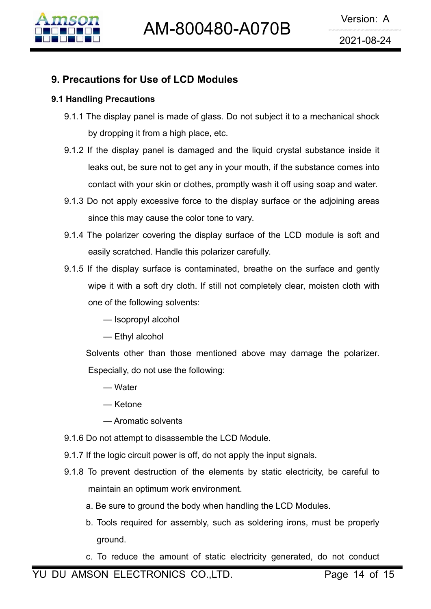

- **9. Precautions for Use of LCD Modules**<br>
9. Precautions for Use of LCD Modules<br>
9.1 Handling Precautions<br>
9.1.1 The display panel is made of glass. Do not subject it to a mechanical<br>
by dropping it from a high place, etc. **9. Precautions for Use of LCD Modules**<br>
9.1 Handling Precautions<br>
9.1.1 The display panel is made of glass. Do not by dropping it from a high place, etc. Version: A<br>
1980 M M-800480-A070B<br>
19921-08-24<br>
Precautions for Use of LCD Modules<br>
Handling Precautions<br>
9.1.1 The display panel is made of glass. Do not subject it to a mechanical shock<br>
by dropping it from a high place,
	- **by dropping it from a high place, etc.**<br> **by dropping it from a high place, etc.**<br> **by dropping it from a high place, etc.**<br>
	If the display panel is damaged and the liquid crystal substance<br>
	leaks out, be sure not to get FIGHT MM-800480-A070B<br>
	9.1.1 The display panel is made of glass. Do not subject it to a mechanical shock<br>
	by dropping it from a high place, etc.<br>
	9.1.2 If the display panel is damaged and the liquid crystal substance insid **LEAK SOLA SET AND MODE SET AND SOLA SET AND SOLARY SURFERIST SURFERIST SURFERIST SURFERIST SURFERIST SURFERIST SURFERIST SURFERIST SURFERIST ON THE SURFERIST ON THE SURFERIST ON THE SURFERIST ON THE SURFERIST ON THE SURF ing Precautions**<br>The display panel is made of glass. Do not subject it to a mechanical shock<br>by dropping it from a high place, etc.<br>If the display panel is damaged and the liquid crystal substance inside it<br>leaks out, be **Precautions for Use of LCD Modules**<br>
	9.1.1 The display panel is made of glass. Do not subject it to a mechanical shock<br>
	by dropping it from a high place, etc.<br>
	9.1.2 If the display panel is damaged and the liquid crystal Ing Precautions<br>The display panel is made of glass. Do not subject it to a mechanical sh<br>by dropping it from a high place, etc.<br>If the display panel is damaged and the liquid crystal substance insid<br>leaks out, be sure not 9.1.1 The display panel is made of glass. Do not subject it to a mechanical shock<br>by dropping it from a high place, etc.<br>9.1.2 If the display panel is damaged and the liquid crystal substance inside it<br>leaks out, be sure n by dropping it from a high place, etc.<br>If the display panel is damaged and the liquid crystal substance insid<br>leaks out, be sure not to get any in your mouth, if the substance comes i<br>contact with your skin or clothes, pro 9.1.2 If the display panel is damaged and the liquid crystal substance inside it<br>leaks out, be sure not to get any in your mouth, if the substance comes into<br>contact with your skin or clothes, promptly wash it off using so
	-
	-
	- leaks out, be sure not to get any in your mouth, if the substance comes into<br>contact with your skin or clothes, promptly wash it off using soap and water.<br>Do not apply excessive force to the display surface or the adjoinin contact with your skin or clothes, promptly wash it off undersed to the display surface of the following solvents:<br>The polarizer covering the display surface of the LC<br>easily scratched. Handle this polarizer carefully.<br>If not apply excessive force to the display surface<br>
	e this may cause the color tone to vary.<br>
	polarizer covering the display surface of the<br>
	ily scratched. Handle this polarizer carefully.<br>
	e display surface is contaminated, e this may cause the color tone to vary.<br>
	polarizer covering the display surface of<br>
	ily scratched. Handle this polarizer carefull!<br>
	e display surface is contaminated, breath<br>
	e it with a soft dry cloth. If still not compl The polarizer covering the display surface of the LCD module is soft and<br>easily scratched. Handle this polarizer carefully.<br>If the display surface is contaminated, breathe on the surface and gently<br>wipe it with a soft dry easily scratched. Handle this polarizer carefully.<br>
	If the display surface is contaminated, breathe on the sure<br>
	wipe it with a soft dry cloth. If still not completely clear, mo<br>
	one of the following solvents:<br>
	— Isopropyl e display surface is contaminated, leading the it with a soft dry cloth. If still not compare of the following solvents:<br>
	— Isopropyl alcohol<br>
	— Ethyl alcohol<br>
	ents other than those mentioned and ecially, do not use the fo e it with a soft dry cloth. If still not c<br>
	of the following solvents:<br>
	— Isopropyl alcohol<br>
	— Ethyl alcohol<br>
	ents other than those mentioned a<br>
	ecially, do not use the following:<br>
	— Water<br>
	— Ketone<br>
	— Aromatic solvents<br>
	o
		-
		-
	- of the following solvents:<br>
	 Isopropyl alcohol<br>
	 Ethyl alcohol<br>
	ents other than those mentioned above ma<br>
	ecially, do not use the following:<br>
	 Water<br>
	 Ketone<br>
	 Aromatic solvents<br>
	tot attempt to disassemble the LCD Mod 9.1.6 Do not attempt to disassemble the elements by static electricity, be careful<br>
	9.1.6 Do not attempt to disassemble the LCD Module.<br>
	9.1.7 If the logic circuit power is off, do not apply the input signals.<br>
	9.1.8 To pr
		-
		-
		-
	-
	-
	- 9.1.8 To prevent destruction of the elements by static electricity, be careful to maintain an optimum work environment. 9.1.8 To prevent destruction of the bolonic above may damage the polarizer.<br>
	9.1.6 Do not attempt to disassemble the LCD Module.<br>
	9.1.7 If the logic circuit power is off, do not apply the input signals.<br>
	9.1.8 To prevent d Especially, do not use the following:<br>
	— Water<br>
	— Ketone<br>
	— Aromatic solvents<br>
	Do not attempt to disassemble the LCD Module.<br>
	If the logic circuit power is off, do not apply the input signals.<br>
	To prevent destruction of th — Water<br>
	— Ketone<br>
	— Aromatic solvents<br>
	Do not attempt to disassemble the LCD Module.<br>
	If the logic circuit power is off, do not apply the input signals.<br>
	To prevent destruction of the elements by static electricity, be ca -- Ketone<br>
	-- Aromatic solvents<br>
	Do not attempt to disassemble the LCD Module.<br>
	If the logic circuit power is off, do not apply the input signals.<br>
	To prevent destruction of the elements by static electricity, be careful t Do not attempt to disassemble the LCD Module.<br>
	If the logic circuit power is off, do not apply the input signals.<br>
	To prevent destruction of the elements by static electricity, be careful to<br>
	maintain an optimum work envir
		-
		- ground.
		-